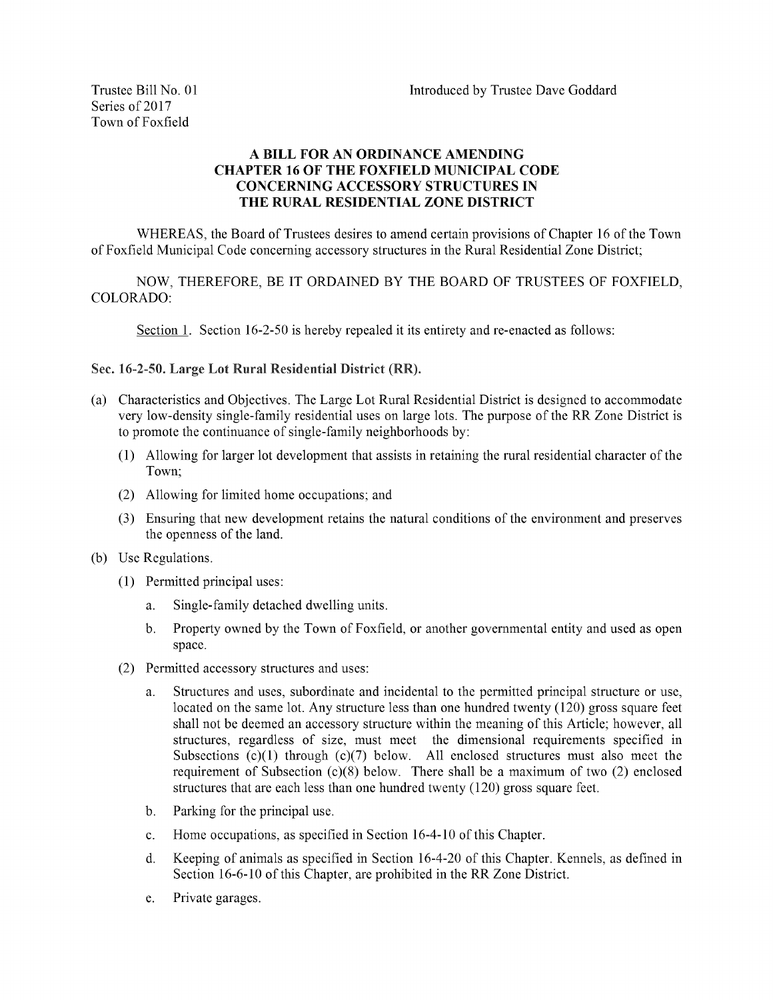## ABILLFORANORDINANCEAMENDING CHAPTER 16 OF THE FOXFIELD MUNICIPAL CODE CONCERNING ACCESSORY STRUCTURES IN THE RURAL RESIDENTIAL ZONE DISTRICT

WHEREAS, the Board of Trustees desires to amend certain provisions of Chapter 16 of the Town of Foxfield Municipal Code concerning accessory structures in the Rural Residential Zone District;

NOW, THEREFORE, BE IT ORDAINED BY THE BOARD OF TRUSTEES OF FOXFIELD, COLORADO:

Section 1. Section 16-2-50 is hereby repealed it its entirety and re-enacted as follows:

## Sec. 16-2-50. Large Lot Rural Residential District (RR).

- a) CharacteristicsandObjectives. TheLargeLotRuralResidentialDistrictisdesignedtoaccommodate very low-density single-family residential uses on large lots. The purpose of the RR Zone District is to promote the continuance of single-family neighborhoods by:
	- 1) Allowingforlargerlotdevelopmentthatassistsinretainingtheruralresidentialcharacterofthe Town;
	- (2) Allowing for limited home occupations; and
	- (3) Ensuring that new development retains the natural conditions of the environment and preserves the openness of the land.
- (b) Use Regulations.
	- (1) Permitted principal uses:
		- a. Single-family detached dwelling units.
		- b. Property owned by the Town of Foxfield, or another governmental entity and used as open space.
	- (2) Permitted accessory structures and uses:
		- a. Structures and uses, subordinate and incidental to the permitted principal structure or use, located on the same lot. Any structure less than one hundred twenty (120) gross square feet shall not be deemed an accessory structure within the meaning of this Article; however, all structures, regardless of size, must meet the dimensional requirements specified in Subsections  $(c)(1)$  through  $(c)(7)$  below. All enclosed structures must also meet the requirement of Subsection (c)(8) below. There shall be a maximum of two (2) enclosed structures that are each less than one hundred twenty  $(120)$  gross square feet.
		- b. Parking for the principal use.
		- c. Home occupations, as specified in Section 16-4-10 of this Chapter.
		- d. Keeping of animals as specified in Section 16-4-20 of this Chapter. Kennels, as defined in Section 16-6-10 of this Chapter, are prohibited in the RR Zone District.
		- e. Private garages.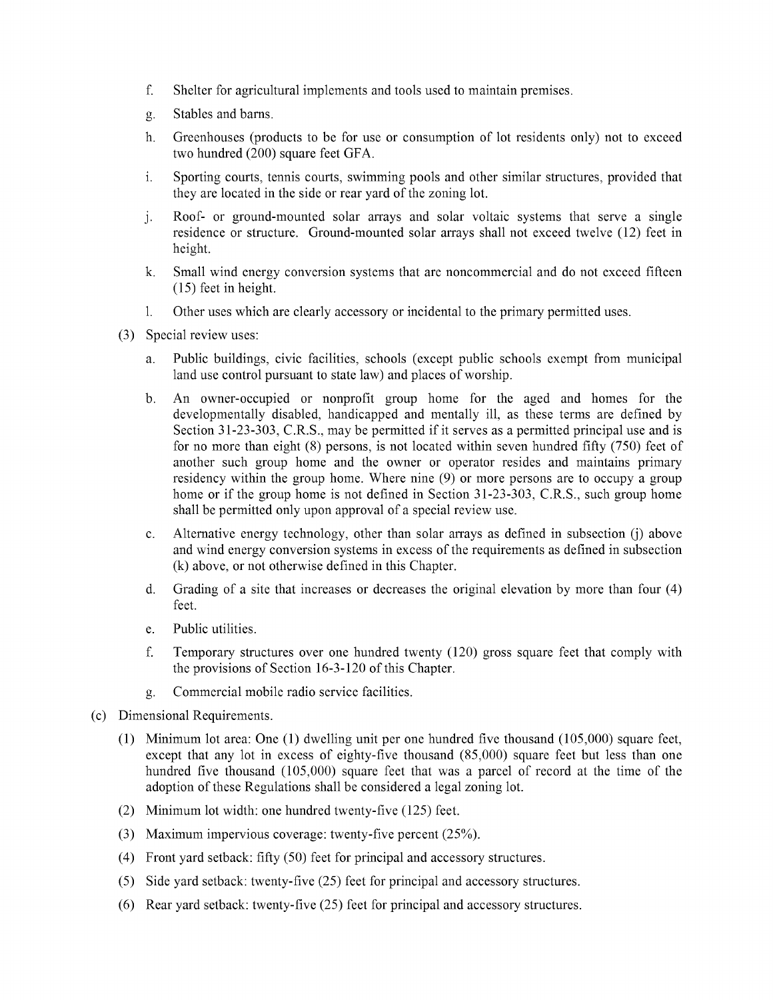- f. Shelter for agricultural implements and tools used to maintain premises.
- g. Stables and barns.
- h. Greenhouses (products to be for use or consumption of lot residents only) not to exceed two hundred (200) square feet GFA.
- i. Sporting courts, tennis courts, swimming pools and other similar structures, provided that they are located in the side or rear yard of the zoning lot.
- j. Roof- or ground-mounted solar arrays and solar voltaic systems that serve a single residence or structure. Ground-mounted solar arrays shall not exceed twelve (12) feet in height.
- k. Small wind energy conversion systems that are noncommercial and do not exceed fifteen  $(15)$  feet in height.
- l. Other uses which are clearly accessory or incidental to the primary permitted uses.
- (3) Special review uses:
	- a. Public buildings, civic facilities, schools (except public schools exempt from municipal land use control pursuant to state law) and places of worship.
	- b. An owner-occupied or nonprofit group home for the aged and homes for the developmentally disabled, handicapped and mentally ill, as these terms are defined by Section 31-23-303, C.R.S., may be permitted if it serves as a permitted principal use and is for no more than eight  $(8)$  persons, is not located within seven hundred fifty  $(750)$  feet of another such group home and the owner or operator resides and maintains primary residency within the group home. Where nine (9) or more persons are to occupy a group home or if the group home is not defined in Section 31-23-303, C.R.S., such group home shall be permitted only upon approval of a special review use.
	- c. Alternative energy technology, other than solar arrays as defined in subsection (j) above and wind energy conversion systems in excess of the requirements as defined in subsection (k) above, or not otherwise defined in this Chapter.
	- d. Grading of a site that increases or decreases the original elevation by more than four  $(4)$ feet.
	- e. Public utilities.
	- f. Temporary structures over one hundred twenty  $(120)$  gross square feet that comply with the provisions of Section 16-3-120 of this Chapter.
	- g. Commercial mobile radio service facilities.
- (c) Dimensional Requirements.
	- (1) Minimum lot area: One  $(1)$  dwelling unit per one hundred five thousand  $(105,000)$  square feet, except that any lot in excess of eighty-five thousand (85,000) square feet but less than one hundred five thousand  $(105,000)$  square feet that was a parcel of record at the time of the adoption of these Regulations shall be considered a legal zoning lot.
	- (2) Minimum lot width: one hundred twenty-five  $(125)$  feet.
	- (3) Maximum impervious coverage: twenty-five percent  $(25\%)$ .
	- (4) Front yard setback: fifty  $(50)$  feet for principal and accessory structures.
	- $(5)$  Side yard setback: twenty-five  $(25)$  feet for principal and accessory structures.
	- $(6)$  Rear yard setback: twenty-five (25) feet for principal and accessory structures.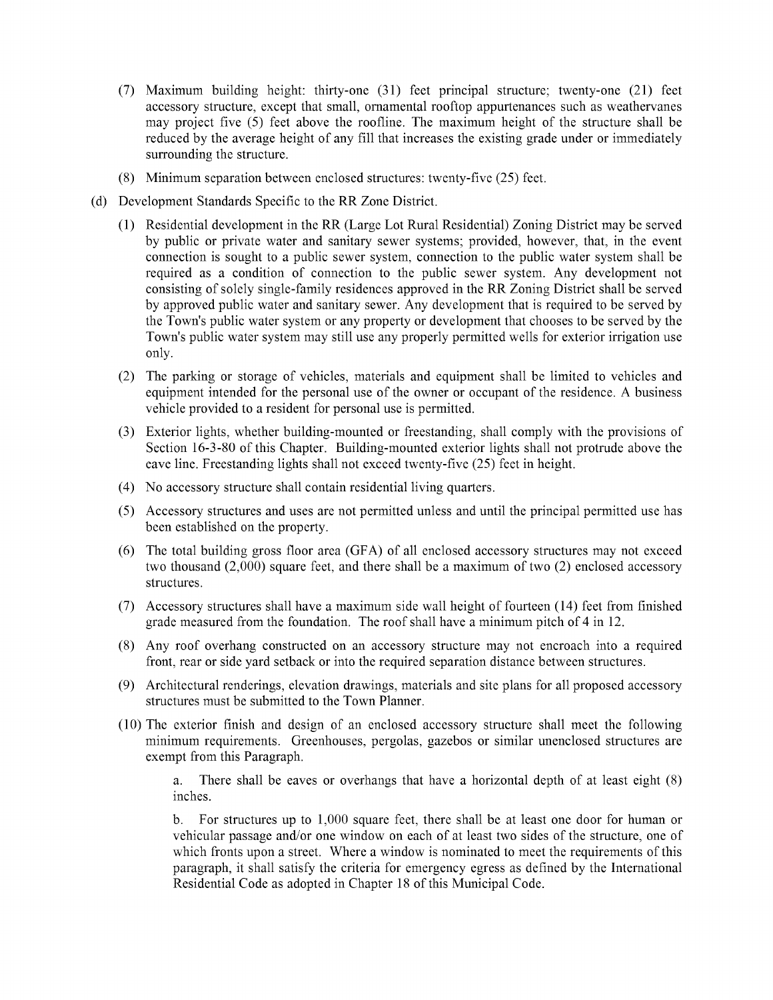- $7$ ) Maximum building height: thirty-one  $(31)$  feet principal structure; twenty-one  $(21)$  feet accessory structure, except that small, ornamental rooftop appurtenances such as weathervanes may project five  $(5)$  feet above the roofline. The maximum height of the structure shall be reduced by the average height of any fill that increases the existing grade under or immediately surrounding the structure.
- $(8)$  Minimum separation between enclosed structures: twenty-five  $(25)$  feet.
- (d) Development Standards Specific to the RR Zone District.
	- 1) ResidentialdevelopmentintheRR (LargeLotRuralResidential) ZoningDistrictmaybeserved by public or private water and sanitary sewer systems; provided, however, that, in the event connection is sought to a public sewer system, connection to the public water system shall be required as a condition of connection to the public sewer system. Any development not consisting of solely single-family residences approved in the RR Zoning District shall be served by approved public water and sanitary sewer. Any development that is required to be served by the Town's public water system or any property or development that chooses to be served by the Town's public water system may still use any properly permitted wells for exterior irrigation use only.
	- (2) The parking or storage of vehicles, materials and equipment shall be limited to vehicles and equipment intended for the personal use of the owner or occupant of the residence. A business vehicle provided to a resident for personal use is permitted.
	- (3) Exterior lights, whether building-mounted or freestanding, shall comply with the provisions of Section 16-3-80 of this Chapter. Building-mounted exterior lights shall not protrude above the eave line. Freestanding lights shall not exceed twenty-five (25) feet in height.
	- (4) No accessory structure shall contain residential living quarters.
	- 5) Accessorystructuresandusesarenotpermittedunlessanduntiltheprincipalpermittedusehas been established on the property.
	- $(6)$  The total building gross floor area  $(GFA)$  of all enclosed accessory structures may not exceed two thousand  $(2,000)$  square feet, and there shall be a maximum of two  $(2)$  enclosed accessory structures.
	- $(7)$  Accessory structures shall have a maximum side wall height of fourteen  $(14)$  feet from finished grade measured from the foundation. The roof shall have a minimum pitch of  $4$  in 12.
	- (8) Any roof overhang constructed on an accessory structure may not encroach into a required front, rear or side yard setback or into the required separation distance between structures.
	- (9) Architectural renderings, elevation drawings, materials and site plans for all proposed accessory structures must be submitted to the Town Planner.
	- $(10)$  The exterior finish and design of an enclosed accessory structure shall meet the following minimum requirements. Greenhouses, pergolas, gazebos or similar unenclosed structures are exempt from this Paragraph.

a. There shall be eaves or overhangs that have a horizontal depth of at least eight (8) inches.

b. For structures up to 1,000 square feet, there shall be at least one door for human or vehicular passage and/or one window on each of at least two sides of the structure, one of which fronts upon a street. Where a window is nominated to meet the requirements of this paragraph, it shall satisfy the criteria for emergency egress as defined by the International Residential Code as adopted in Chapter 18 of this Municipal Code.